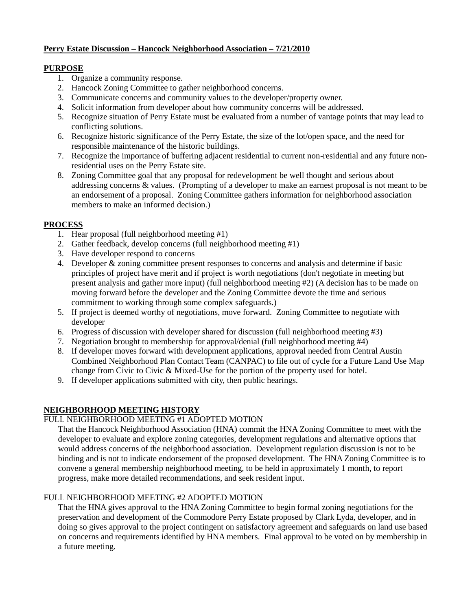## **Perry Estate Discussion – Hancock Neighborhood Association – 7/21/2010**

## **PURPOSE**

- 1. Organize a community response.
- 2. Hancock Zoning Committee to gather neighborhood concerns.
- 3. Communicate concerns and community values to the developer/property owner.
- 4. Solicit information from developer about how community concerns will be addressed.
- 5. Recognize situation of Perry Estate must be evaluated from a number of vantage points that may lead to conflicting solutions.
- 6. Recognize historic significance of the Perry Estate, the size of the lot/open space, and the need for responsible maintenance of the historic buildings.
- 7. Recognize the importance of buffering adjacent residential to current non-residential and any future nonresidential uses on the Perry Estate site.
- 8. Zoning Committee goal that any proposal for redevelopment be well thought and serious about addressing concerns & values. (Prompting of a developer to make an earnest proposal is not meant to be an endorsement of a proposal. Zoning Committee gathers information for neighborhood association members to make an informed decision.)

# **PROCESS**

- 1. Hear proposal (full neighborhood meeting #1)
- 2. Gather feedback, develop concerns (full neighborhood meeting #1)
- 3. Have developer respond to concerns
- 4. Developer & zoning committee present responses to concerns and analysis and determine if basic principles of project have merit and if project is worth negotiations (don't negotiate in meeting but present analysis and gather more input) (full neighborhood meeting #2) (A decision has to be made on moving forward before the developer and the Zoning Committee devote the time and serious commitment to working through some complex safeguards.)
- 5. If project is deemed worthy of negotiations, move forward. Zoning Committee to negotiate with developer
- 6. Progress of discussion with developer shared for discussion (full neighborhood meeting #3)
- 7. Negotiation brought to membership for approval/denial (full neighborhood meeting #4)
- 8. If developer moves forward with development applications, approval needed from Central Austin Combined Neighborhood Plan Contact Team (CANPAC) to file out of cycle for a Future Land Use Map change from Civic to Civic & Mixed-Use for the portion of the property used for hotel.
- 9. If developer applications submitted with city, then public hearings.

# **NEIGHBORHOOD MEETING HISTORY**

# FULL NEIGHBORHOOD MEETING #1 ADOPTED MOTION

That the Hancock Neighborhood Association (HNA) commit the HNA Zoning Committee to meet with the developer to evaluate and explore zoning categories, development regulations and alternative options that would address concerns of the neighborhood association. Development regulation discussion is not to be binding and is not to indicate endorsement of the proposed development. The HNA Zoning Committee is to convene a general membership neighborhood meeting, to be held in approximately 1 month, to report progress, make more detailed recommendations, and seek resident input.

# FULL NEIGHBORHOOD MEETING #2 ADOPTED MOTION

That the HNA gives approval to the HNA Zoning Committee to begin formal zoning negotiations for the preservation and development of the Commodore Perry Estate proposed by Clark Lyda, developer, and in doing so gives approval to the project contingent on satisfactory agreement and safeguards on land use based on concerns and requirements identified by HNA members. Final approval to be voted on by membership in a future meeting.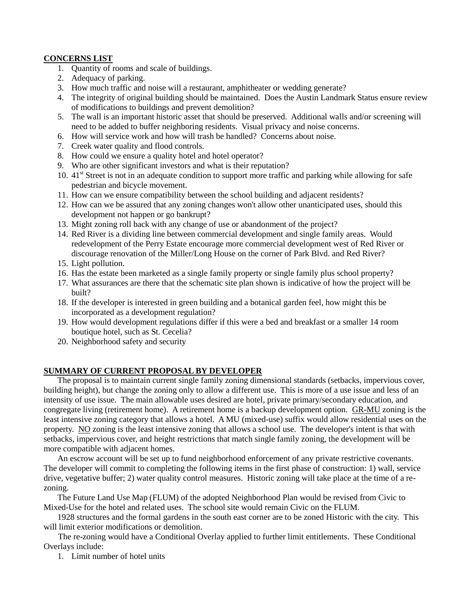## **CONCERNS LIST**

- 1. Quantity of rooms and scale of buildings.
- 2. Adequacy of parking.
- 3. How much traffic and noise will a restaurant, amphitheater or wedding generate?
- 4. The integrity of original building should be maintained. Does the Austin Landmark Status ensure review of modifications to buildings and prevent demolition?
- 5. The wall is an important historic asset that should be preserved. Additional walls and/or screening will need to be added to buffer neighboring residents. Visual privacy and noise concerns.
- 6. How will service work and how will trash be handled? Concerns about noise.
- 7. Creek water quality and flood controls.
- 8. How could we ensure a quality hotel and hotel operator?
- 9. Who are other significant investors and what is their reputation?
- 10.  $41<sup>st</sup>$  Street is not in an adequate condition to support more traffic and parking while allowing for safe pedestrian and bicycle movement.
- 11. How can we ensure compatibility between the school building and adjacent residents?
- 12. How can we be assured that any zoning changes won't allow other unanticipated uses, should this development not happen or go bankrupt?
- 13. Might zoning roll back with any change of use or abandonment of the project?
- 14. Red River is a dividing line between commercial development and single family areas. Would redevelopment of the Perry Estate encourage more commercial development west of Red River or discourage renovation of the Miller/Long House on the corner of Park Blvd. and Red River?
- 15. Light pollution.
- 16. Has the estate been marketed as a single family property or single family plus school property?
- 17. What assurances are there that the schematic site plan shown is indicative of how the project will be built?
- 18. If the developer is interested in green building and a botanical garden feel, how might this be incorporated as a development regulation?
- 19. How would development regulations differ if this were a bed and breakfast or a smaller 14 room boutique hotel, such as St. Cecelia?
- 20. Neighborhood safety and security

## **SUMMARY OF CURRENT PROPOSAL BY DEVELOPER**

The proposal is to maintain current single family zoning dimensional standards (setbacks, impervious cover, building height), but change the zoning only to allow a different use. This is more of a use issue and less of an intensity of use issue. The main allowable uses desired are hotel, private primary/secondary education, and congregate living (retirement home). A retirement home is a backup development option. GR-MU zoning is the least intensive zoning category that allows a hotel. A MU (mixed-use) suffix would allow residential uses on the property. NO zoning is the least intensive zoning that allows a school use. The developer's intent is that with setbacks, impervious cover, and height restrictions that match single family zoning, the development will be more compatible with adjacent homes.

An escrow account will be set up to fund neighborhood enforcement of any private restrictive covenants. The developer will commit to completing the following items in the first phase of construction: 1) wall, service drive, vegetative buffer; 2) water quality control measures. Historic zoning will take place at the time of a rezoning.

The Future Land Use Map (FLUM) of the adopted Neighborhood Plan would be revised from Civic to Mixed-Use for the hotel and related uses. The school site would remain Civic on the FLUM.

1928 structures and the formal gardens in the south east corner are to be zoned Historic with the city. This will limit exterior modifications or demolition.

The re-zoning would have a Conditional Overlay applied to further limit entitlements. These Conditional Overlays include:

1. Limit number of hotel units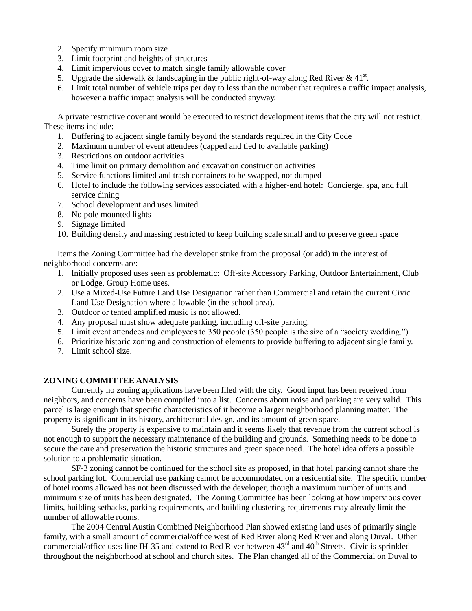- 2. Specify minimum room size
- 3. Limit footprint and heights of structures
- 4. Limit impervious cover to match single family allowable cover
- 5. Upgrade the sidewalk & landscaping in the public right-of-way along Red River & 41<sup>st</sup>.
- 6. Limit total number of vehicle trips per day to less than the number that requires a traffic impact analysis, however a traffic impact analysis will be conducted anyway.

A private restrictive covenant would be executed to restrict development items that the city will not restrict. These items include:

- 1. Buffering to adjacent single family beyond the standards required in the City Code
- 2. Maximum number of event attendees (capped and tied to available parking)
- 3. Restrictions on outdoor activities
- 4. Time limit on primary demolition and excavation construction activities
- 5. Service functions limited and trash containers to be swapped, not dumped
- 6. Hotel to include the following services associated with a higher-end hotel: Concierge, spa, and full service dining
- 7. School development and uses limited
- 8. No pole mounted lights
- 9. Signage limited
- 10. Building density and massing restricted to keep building scale small and to preserve green space

Items the Zoning Committee had the developer strike from the proposal (or add) in the interest of neighborhood concerns are:

- 1. Initially proposed uses seen as problematic: Off-site Accessory Parking, Outdoor Entertainment, Club or Lodge, Group Home uses.
- 2. Use a Mixed-Use Future Land Use Designation rather than Commercial and retain the current Civic Land Use Designation where allowable (in the school area).
- 3. Outdoor or tented amplified music is not allowed.
- 4. Any proposal must show adequate parking, including off-site parking.
- 5. Limit event attendees and employees to 350 people (350 people is the size of a "society wedding.")
- 6. Prioritize historic zoning and construction of elements to provide buffering to adjacent single family.
- 7. Limit school size.

## **ZONING COMMITTEE ANALYSIS**

Currently no zoning applications have been filed with the city. Good input has been received from neighbors, and concerns have been compiled into a list. Concerns about noise and parking are very valid. This parcel is large enough that specific characteristics of it become a larger neighborhood planning matter. The property is significant in its history, architectural design, and its amount of green space.

Surely the property is expensive to maintain and it seems likely that revenue from the current school is not enough to support the necessary maintenance of the building and grounds. Something needs to be done to secure the care and preservation the historic structures and green space need. The hotel idea offers a possible solution to a problematic situation.

SF-3 zoning cannot be continued for the school site as proposed, in that hotel parking cannot share the school parking lot. Commercial use parking cannot be accommodated on a residential site. The specific number of hotel rooms allowed has not been discussed with the developer, though a maximum number of units and minimum size of units has been designated. The Zoning Committee has been looking at how impervious cover limits, building setbacks, parking requirements, and building clustering requirements may already limit the number of allowable rooms.

The 2004 Central Austin Combined Neighborhood Plan showed existing land uses of primarily single family, with a small amount of commercial/office west of Red River along Red River and along Duval. Other commercial/office uses line IH-35 and extend to Red River between 43<sup>rd</sup> and 40<sup>th</sup> Streets. Civic is sprinkled throughout the neighborhood at school and church sites. The Plan changed all of the Commercial on Duval to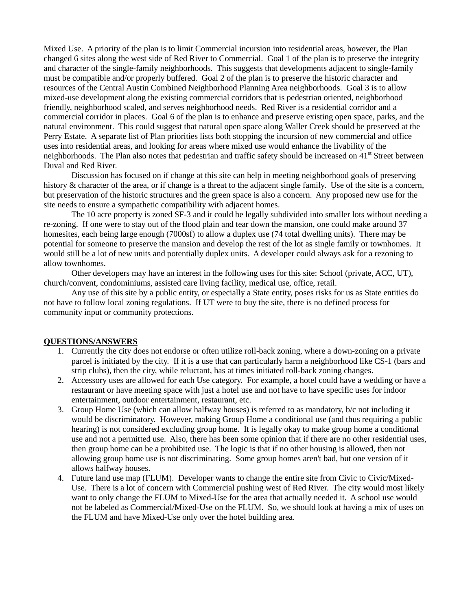Mixed Use. A priority of the plan is to limit Commercial incursion into residential areas, however, the Plan changed 6 sites along the west side of Red River to Commercial. Goal 1 of the plan is to preserve the integrity and character of the single-family neighborhoods. This suggests that developments adjacent to single-family must be compatible and/or properly buffered. Goal 2 of the plan is to preserve the historic character and resources of the Central Austin Combined Neighborhood Planning Area neighborhoods. Goal 3 is to allow mixed-use development along the existing commercial corridors that is pedestrian oriented, neighborhood friendly, neighborhood scaled, and serves neighborhood needs. Red River is a residential corridor and a commercial corridor in places. Goal 6 of the plan is to enhance and preserve existing open space, parks, and the natural environment. This could suggest that natural open space along Waller Creek should be preserved at the Perry Estate. A separate list of Plan priorities lists both stopping the incursion of new commercial and office uses into residential areas, and looking for areas where mixed use would enhance the livability of the neighborhoods. The Plan also notes that pedestrian and traffic safety should be increased on  $41<sup>st</sup>$  Street between Duval and Red River.

Discussion has focused on if change at this site can help in meeting neighborhood goals of preserving history & character of the area, or if change is a threat to the adjacent single family. Use of the site is a concern, but preservation of the historic structures and the green space is also a concern. Any proposed new use for the site needs to ensure a sympathetic compatibility with adjacent homes.

The 10 acre property is zoned SF-3 and it could be legally subdivided into smaller lots without needing a re-zoning. If one were to stay out of the flood plain and tear down the mansion, one could make around 37 homesites, each being large enough (7000sf) to allow a duplex use (74 total dwelling units). There may be potential for someone to preserve the mansion and develop the rest of the lot as single family or townhomes. It would still be a lot of new units and potentially duplex units. A developer could always ask for a rezoning to allow townhomes.

Other developers may have an interest in the following uses for this site: School (private, ACC, UT), church/convent, condominiums, assisted care living facility, medical use, office, retail.

Any use of this site by a public entity, or especially a State entity, poses risks for us as State entities do not have to follow local zoning regulations. If UT were to buy the site, there is no defined process for community input or community protections.

#### **QUESTIONS/ANSWERS**

- 1. Currently the city does not endorse or often utilize roll-back zoning, where a down-zoning on a private parcel is initiated by the city. If it is a use that can particularly harm a neighborhood like CS-1 (bars and strip clubs), then the city, while reluctant, has at times initiated roll-back zoning changes.
- 2. Accessory uses are allowed for each Use category. For example, a hotel could have a wedding or have a restaurant or have meeting space with just a hotel use and not have to have specific uses for indoor entertainment, outdoor entertainment, restaurant, etc.
- 3. Group Home Use (which can allow halfway houses) is referred to as mandatory, b/c not including it would be discriminatory. However, making Group Home a conditional use (and thus requiring a public hearing) is not considered excluding group home. It is legally okay to make group home a conditional use and not a permitted use. Also, there has been some opinion that if there are no other residential uses, then group home can be a prohibited use. The logic is that if no other housing is allowed, then not allowing group home use is not discriminating. Some group homes aren't bad, but one version of it allows halfway houses.
- 4. Future land use map (FLUM). Developer wants to change the entire site from Civic to Civic/Mixed-Use. There is a lot of concern with Commercial pushing west of Red River. The city would most likely want to only change the FLUM to Mixed-Use for the area that actually needed it. A school use would not be labeled as Commercial/Mixed-Use on the FLUM. So, we should look at having a mix of uses on the FLUM and have Mixed-Use only over the hotel building area.